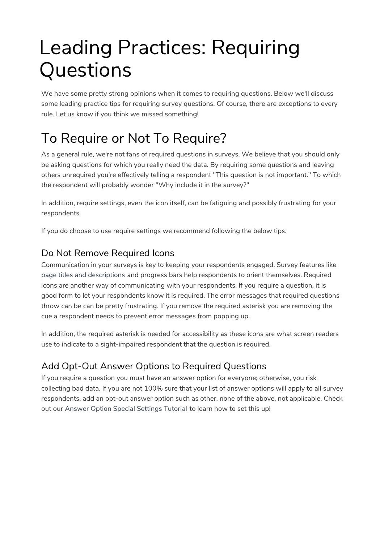# Leading Practices: Requiring **Questions**

We have some pretty strong opinions when it comes to requiring questions. Below we'll discuss some leading practice tips for requiring survey questions. Of course, there are exceptions to every rule. Let us know if you think we missed something!

## To Require or Not To Require?

As a general rule, we're not fans of required questions in surveys. We believe that you should only be asking questions for which you really need the data. By requiring some questions and leaving others unrequired you're effectively telling a respondent "This question is not important." To which the respondent will probably wonder "Why include it in the survey?"

In addition, require settings, even the icon itself, can be fatiguing and possibly frustrating for your respondents.

If you do choose to use require settings we recommend following the below tips.

#### Do Not Remove Required Icons

Communication in your surveys is key to keeping your respondents engaged. Survey features like page titles and descriptions and progress bars help respondents to orient themselves. Required icons are another way of communicating with your respondents. If you require a question, it is good form to let your respondents know it is required. The error messages that required questions throw can be can be pretty frustrating. If you remove the required asterisk you are removing the cue a respondent needs to prevent error messages from popping up.

In addition, the required asterisk is needed for accessibility as these icons are what screen readers use to indicate to a sight-impaired respondent that the question is required.

### Add Opt-Out Answer Options to Required Questions

If you require a question you must have an answer option for everyone; otherwise, you risk collecting bad data. If you are not 100% sure that your list of answer options will apply to all survey respondents, add an opt-out answer option such as other, none of the above, not applicable. Check out our Answer Option Special Settings Tutorial to learn how to set this up!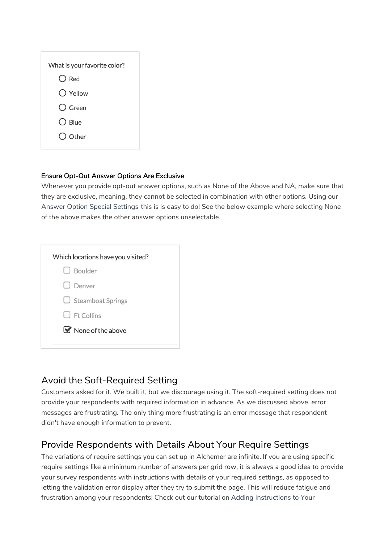| What is your favorite color? |
|------------------------------|
| $\bigcirc$ Red               |
| $\bigcirc$ Yellow            |
| $\bigcap$ Green              |
| $\bigcirc$ Blue              |
| $\bigcirc$ Other             |
|                              |

#### Ensure Opt-Out Answer Options Are Exclusive

Whenever you provide opt-out answer options, such as None of the Above and NA, make sure that they are exclusive, meaning, they cannot be selected in combination with other options. Using our Answer Option Special Settings this is is easy to do! See the below example where selecting None of the above makes the other answer options unselectable.

| Which locations have you visited? |
|-----------------------------------|
| $\Box$ Boulder                    |
| l Denver                          |
| $\Box$ Steamboat Springs          |
| $\Box$ Ft Collins                 |
| $\blacksquare$ None of the above  |
|                                   |

#### Avoid the Soft-Required Setting

Customers asked for it. We built it, but we discourage using it. The soft-required setting does not provide your respondents with required information in advance. As we discussed above, error messages are frustrating. The only thing more frustrating is an error message that respondent didn't have enough information to prevent.

#### Provide Respondents with Details About Your Require Settings

The variations of require settings you can set up in Alchemer are infinite. If you are using specific require settings like a minimum number of answers per grid row, it is always a good idea to provide your survey respondents with instructions with details of your required settings, as opposed to letting the validation error display after they try to submit the page. This will reduce fatigue and frustration among your respondents! Check out our tutorial on Adding Instructions to Your